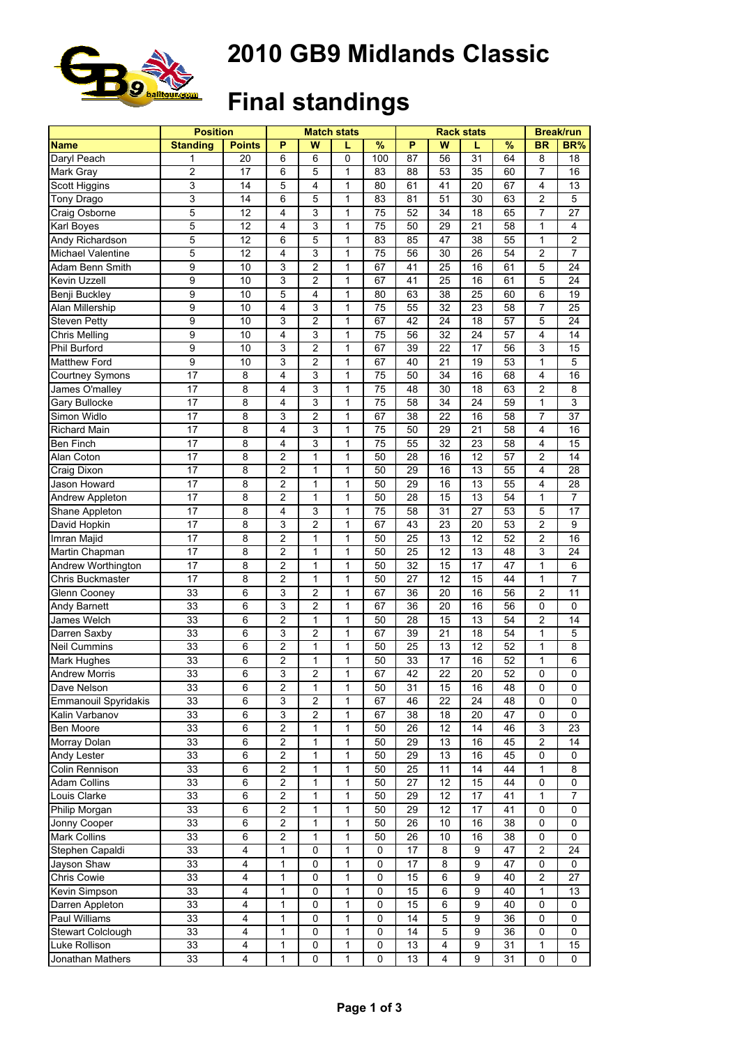

#### **2010 GB9 Midlands Classic**

# **Final standings**

|                      | <b>Position</b> |               |                         |                         | <b>Match stats</b> |                 |                 | <b>Rack stats</b>       | <b>Break/run</b> |               |                         |                         |
|----------------------|-----------------|---------------|-------------------------|-------------------------|--------------------|-----------------|-----------------|-------------------------|------------------|---------------|-------------------------|-------------------------|
| <b>Name</b>          | <b>Standing</b> | <b>Points</b> | P                       | W                       | L                  | $\frac{9}{6}$   | P               | W                       | L                | $\frac{9}{6}$ | <b>BR</b>               | BR%                     |
| Daryl Peach          | 1               | 20            | 6                       | 6                       | 0                  | 100             | $\overline{87}$ | 56                      | 31               | 64            | 8                       | 18                      |
| Mark Gray            | 2               | 17            | 6                       | 5                       | 1                  | 83              | 88              | 53                      | 35               | 60            | $\overline{7}$          | 16                      |
| Scott Higgins        | 3               | 14            | 5                       | 4                       | $\mathbf{1}$       | 80              | 61              | 41                      | 20               | 67            | $\overline{4}$          | 13                      |
| Tony Drago           | 3               | 14            | 6                       | 5                       | $\mathbf{1}$       | 83              | 81              | 51                      | 30               | 63            | $\overline{c}$          | 5                       |
| Craig Osborne        | 5               | 12            | 4                       | 3                       | 1                  | 75              | 52              | 34                      | 18               | 65            | $\overline{7}$          | 27                      |
| Karl Boyes           | 5               | 12            | 4                       | 3                       | $\mathbf{1}$       | 75              | 50              | 29                      | 21               | 58            | $\mathbf{1}$            | $\overline{\mathbf{4}}$ |
| Andy Richardson      | 5               | 12            | 6                       | 5                       | 1                  | 83              | 85              | 47                      | 38               | 55            | 1                       | $\overline{c}$          |
| Michael Valentine    | 5               | 12            | 4                       | 3                       | 1                  | 75              | 56              | 30                      | 26               | 54            | $\overline{c}$          | $\overline{7}$          |
| Adam Benn Smith      | 9               | 10            | 3                       | $\overline{c}$          | $\mathbf{1}$       | 67              | 41              | 25                      | 16               | 61            | 5                       | 24                      |
| Kevin Uzzell         | 9               | 10            | 3                       | $\overline{\mathbf{c}}$ | $\mathbf{1}$       | 67              | 41              | 25                      | 16               | 61            | 5                       | 24                      |
| Benji Buckley        | 9               | 10            | 5                       | 4                       | $\mathbf{1}$       | 80              | 63              | 38                      | 25               | 60            | 6                       | 19                      |
| Alan Millership      | 9               | 10            | 4                       | 3                       | $\mathbf{1}$       | 75              | 55              | 32                      | 23               | 58            | 7                       | 25                      |
| <b>Steven Petty</b>  | 9               | 10            | 3                       | 2                       | $\mathbf{1}$       | 67              | 42              | 24                      | 18               | 57            | 5                       | 24                      |
| Chris Melling        | $\overline{9}$  | 10            | 4                       | 3                       | $\mathbf{1}$       | 75              | 56              | 32                      | 24               | 57            | $\overline{4}$          | 14                      |
| Phil Burford         | 9               | 10            | 3                       | $\overline{\mathbf{c}}$ | $\mathbf{1}$       | 67              | 39              | 22                      | 17               | 56            | 3                       | 15                      |
| Matthew Ford         | 9               | 10            | 3                       | $\overline{c}$          | $\mathbf{1}$       | 67              | 40              | 21                      | 19               | 53            | $\mathbf{1}$            | 5                       |
| Courtney Symons      | 17              | 8             | 4                       | 3                       | $\mathbf{1}$       | 75              | 50              | 34                      | 16               | 68            | $\overline{\mathbf{4}}$ | 16                      |
| James O'malley       | 17              | 8             | 4                       | 3                       | $\mathbf{1}$       | $\overline{75}$ | 48              | 30                      | 18               | 63            | $\overline{c}$          | 8                       |
| Gary Bullocke        | 17              | 8             | 4                       | 3                       | $\mathbf{1}$       | 75              | 58              | 34                      | 24               | 59            | 1                       | $\mathsf 3$             |
| Simon Widlo          | 17              | 8             | 3                       | $\overline{2}$          | $\mathbf{1}$       | 67              | 38              | 22                      | 16               | 58            | $\overline{7}$          | 37                      |
| Richard Main         | 17              | 8             | $\overline{4}$          | 3                       | $\mathbf{1}$       | $\overline{75}$ | 50              | 29                      | 21               | 58            | $\overline{\mathbf{4}}$ | 16                      |
| Ben Finch            | 17              | 8             | 4                       | 3                       | $\mathbf{1}$       | 75              | 55              | 32                      | 23               | 58            | $\overline{\mathbf{4}}$ | 15                      |
| Alan Coton           | 17              | 8             | $\overline{c}$          | 1                       | $\mathbf{1}$       | 50              | 28              | 16                      | 12               | 57            | $\overline{c}$          | 14                      |
| Craig Dixon          | 17              | 8             | 2                       | 1                       | $\mathbf{1}$       | 50              | 29              | 16                      | 13               | 55            | 4                       | 28                      |
| Jason Howard         | 17              | 8             | $\overline{c}$          | 1                       | $\mathbf{1}$       | 50              | 29              | 16                      | 13               | 55            | $\overline{4}$          | 28                      |
| Andrew Appleton      | 17              | 8             | $\overline{2}$          | 1                       | $\mathbf{1}$       | 50              | 28              | 15                      | 13               | 54            | 1                       | $\overline{7}$          |
| Shane Appleton       | 17              | 8             | 4                       | 3                       | $\mathbf{1}$       | 75              | 58              | 31                      | 27               | 53            | 5                       | 17                      |
| David Hopkin         | 17              | 8             | 3                       | $\overline{2}$          | $\mathbf{1}$       | 67              | 43              | 23                      | 20               | 53            | $\overline{c}$          | 9                       |
| Imran Majid          | 17              | 8             | $\overline{c}$          | 1                       | 1                  | 50              | 25              | 13                      | 12               | 52            | $\overline{2}$          | 16                      |
| Martin Chapman       | 17              | 8             | 2                       | 1                       | 1                  | 50              | 25              | 12                      | 13               | 48            | 3                       | 24                      |
| Andrew Worthington   | 17              | 8             | $\overline{2}$          | 1                       | $\mathbf{1}$       | 50              | 32              | 15                      | 17               | 47            | $\mathbf{1}$            | 6                       |
| Chris Buckmaster     | 17              | 8             | $\overline{2}$          | 1                       | $\mathbf{1}$       | 50              | 27              | 12                      | 15               | 44            | $\mathbf{1}$            | $\overline{7}$          |
| Glenn Cooney         | 33              | 6             | 3                       | $\overline{c}$          | $\mathbf{1}$       | 67              | 36              | 20                      | 16               | 56            | $\overline{c}$          | 11                      |
| Andy Barnett         | 33              | 6             | 3                       | $\overline{c}$          | $\mathbf{1}$       | 67              | $\overline{36}$ | 20                      | 16               | 56            | 0                       | $\overline{0}$          |
| James Welch          | 33              | 6             | $\overline{2}$          | 1                       | 1                  | 50              | 28              | 15                      | 13               | 54            | $\overline{c}$          | 14                      |
| Darren Saxby         | 33              | 6             | 3                       | 2                       | $\mathbf{1}$       | 67              | 39              | 21                      | 18               | 54            | 1                       | 5                       |
| <b>Neil Cummins</b>  | 33              | 6             | $\overline{2}$          | 1                       | $\mathbf{1}$       | 50              | 25              | 13                      | 12               | 52            | $\mathbf{1}$            | 8                       |
| Mark Hughes          | 33              | 6             | 2                       | $\mathbf{1}$            | $\mathbf{1}$       | 50              | 33              | 17                      | 16               | 52            | 1                       | 6                       |
| <b>Andrew Morris</b> | 33              | 6             | 3                       | $\overline{2}$          | 1                  | 67              | 42              | 22                      | 20               | 52            | $\pmb{0}$               | $\mathbf 0$             |
| Dave Nelson          | 33              | 6             | $\overline{\mathbf{c}}$ | 1                       | 1                  | 50              | 31              | 15                      |                  | 48            | 0                       | 0                       |
| Emmanouil Spyridakis | 33              | 6             | 3                       | 2                       | 1                  | 67              | 46              | 22                      | 16<br>24         | 48            | 0                       | 0                       |
|                      | 33              |               |                         | 2                       | 1                  |                 |                 |                         | 20               |               | 0                       |                         |
| Kalin Varbanov       | 33              | 6             | 3<br>$\overline{c}$     |                         |                    | 67<br>50        | 38<br>26        | 18<br>12                | 14               | 47<br>46      | $\mathsf 3$             | 0<br>23                 |
| Ben Moore            |                 | 6             |                         | 1                       | 1                  |                 |                 |                         |                  |               |                         |                         |
| Morray Dolan         | 33              | 6             | $\overline{c}$          | 1                       | 1                  | 50              | 29              | 13                      | 16               | 45            | $\overline{2}$          | 14                      |
| Andy Lester          | 33              | 6             | $\overline{2}$          | 1                       | $\mathbf{1}$       | 50              | 29              | 13                      | 16               | 45            | 0                       | 0                       |
| Colin Rennison       | 33              | 6             | $\overline{c}$          | 1                       | 1                  | 50              | 25              | 11                      | 14               | 44            | 1                       | 8                       |
| Adam Collins         | 33              | 6             | $\overline{2}$          | 1                       | 1                  | 50              | 27              | 12                      | 15               | 44            | 0                       | 0                       |
| Louis Clarke         | $\overline{33}$ | 6             | $\overline{c}$          | 1                       | 1                  | 50              | 29              | 12                      | 17               | 41            | $\mathbf{1}$            | $\overline{7}$          |
| Philip Morgan        | 33              | 6             | $\overline{2}$          | $\mathbf{1}$            | 1                  | 50              | 29              | 12                      | $\overline{17}$  | 41            | 0                       | $\mathbf 0$             |
| Jonny Cooper         | 33              | 6             | $\overline{2}$          | 1                       | 1                  | 50              | $\overline{26}$ | 10                      | 16               | 38            | 0                       | $\pmb{0}$               |
| Mark Collins         | 33              | 6             | $\overline{2}$          | 1                       | 1                  | 50              | $\overline{26}$ | 10                      | 16               | 38            | 0                       | $\pmb{0}$               |
| Stephen Capaldi      | 33              | 4             | 1                       | 0                       | 1                  | 0               | 17              | 8                       | 9                | 47            | $\overline{c}$          | 24                      |
| Jayson Shaw          | 33              | 4             | 1                       | 0                       | 1                  | $\mathbf 0$     | 17              | 8                       | 9                | 47            | 0                       | $\mathbf 0$             |
| Chris Cowie          | 33              | 4             | 1                       | 0                       | 1                  | 0               | 15              | 6                       | 9                | 40            | $\overline{c}$          | 27                      |
| Kevin Simpson        | 33              | 4             | $\mathbf{1}$            | 0                       | 1                  | 0               | 15              | 6                       | 9                | 40            | 1                       | 13                      |
| Darren Appleton      | 33              | 4             | 1                       | 0                       | 1                  | $\mathbf 0$     | 15              | 6                       | 9                | 40            | 0                       | $\pmb{0}$               |
| Paul Williams        | 33              | 4             | 1                       | 0                       | 1                  | 0               | 14              | 5                       | 9                | 36            | 0                       | $\pmb{0}$               |
| Stewart Colclough    | 33              | 4             | 1                       | 0                       | 1                  | 0               | 14              | 5                       | 9                | 36            | 0                       | 0                       |
| Luke Rollison        | 33              | 4             | 1                       | 0                       | 1                  | $\mathsf 0$     | 13              | $\overline{\mathbf{4}}$ | $\boldsymbol{9}$ | 31            | 1                       | 15                      |
| Jonathan Mathers     | 33              | 4             | 1                       | 0                       | $\mathbf{1}$       | 0               | 13              | 4                       | 9                | 31            | 0                       | 0                       |
|                      |                 |               |                         |                         |                    |                 |                 |                         |                  |               |                         |                         |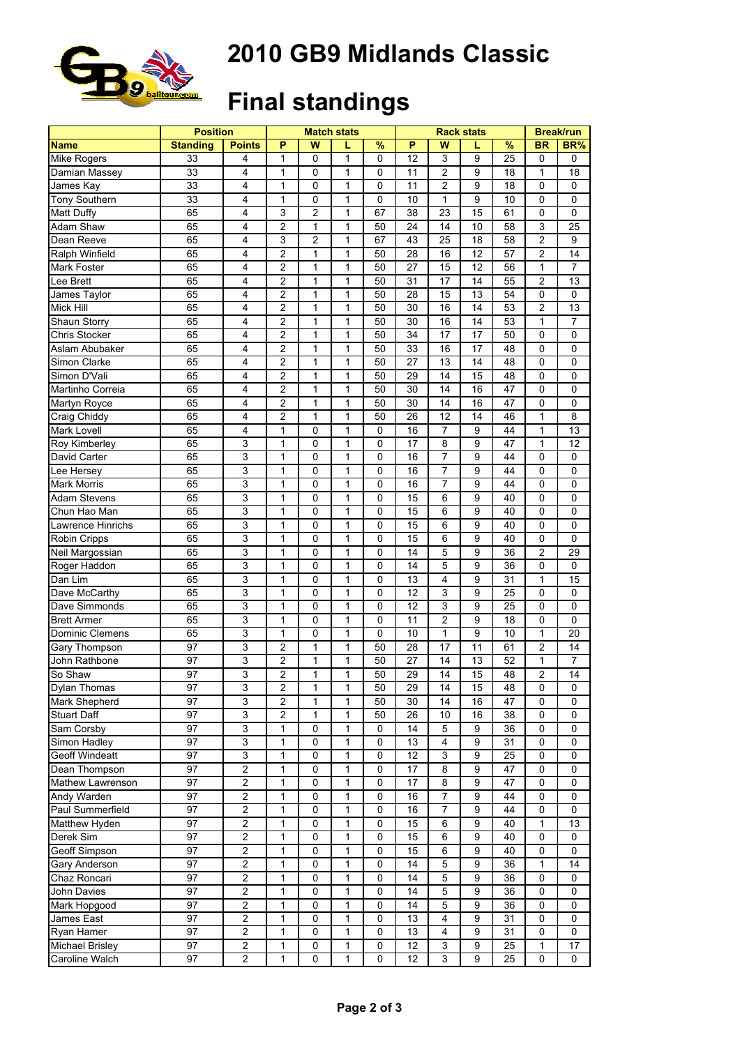

#### **2010 GB9 Midlands Classic**

# **Final standings**

|                        | <b>Position</b> |                         |                |                | <b>Match stats</b> |             |                 | <b>Rack stats</b> | <b>Break/run</b> |               |                |                |
|------------------------|-----------------|-------------------------|----------------|----------------|--------------------|-------------|-----------------|-------------------|------------------|---------------|----------------|----------------|
| <b>Name</b>            | <b>Standing</b> | <b>Points</b>           | P              | W              | L                  | %           | P               | W                 | L                | $\frac{9}{6}$ | <b>BR</b>      | BR%            |
| Mike Rogers            | 33              | 4                       | 1              | 0              | 1                  | 0           | 12              | 3                 | 9                | 25            | 0              | $\mathbf 0$    |
| Damian Massey          | 33              | 4                       | 1              | 0              | 1                  | 0           | 11              | $\overline{2}$    | 9                | 18            | 1              | 18             |
| James Kay              | 33              | 4                       | 1              | 0              | 1                  | $\mathbf 0$ | 11              | $\overline{2}$    | 9                | 18            | 0              | 0              |
| <b>Tony Southern</b>   | 33              | 4                       | $\mathbf{1}$   | 0              | $\mathbf{1}$       | 0           | 10              | $\mathbf{1}$      | 9                | 10            | 0              | $\mathbf 0$    |
| Matt Duffy             | 65              | 4                       | 3              | $\overline{c}$ | 1                  | 67          | 38              | 23                | 15               | 61            | 0              | $\mathbf 0$    |
| Adam Shaw              | 65              | 4                       | $\overline{2}$ | 1              | $\mathbf{1}$       | 50          | 24              | 14                | 10               | 58            | $\mathsf 3$    | 25             |
| Dean Reeve             | 65              | 4                       | 3              | 2              | 1                  | 67          | 43              | 25                | 18               | 58            | $\overline{c}$ | 9              |
| Ralph Winfield         | 65              | 4                       | 2              | 1              | 1                  | 50          | 28              | 16                | 12               | 57            | $\overline{2}$ | 14             |
| Mark Foster            | 65              | $\overline{4}$          | $\overline{2}$ | 1              | $\mathbf{1}$       | 50          | 27              | 15                | 12               | 56            | $\mathbf{1}$   | $\overline{7}$ |
| Lee Brett              | 65              | 4                       | $\overline{2}$ | 1              | $\mathbf{1}$       | 50          | 31              | 17                | 14               | 55            | $\overline{c}$ | 13             |
| James Taylor           | 65              | 4                       | $\overline{2}$ | 1              | $\mathbf{1}$       | 50          | 28              | 15                | 13               | 54            | 0              | $\mathbf 0$    |
| Mick Hill              | 65              | 4                       | $\overline{c}$ | 1              | $\mathbf{1}$       | 50          | 30              | 16                | 14               | 53            | $\overline{c}$ | 13             |
| Shaun Storry           | 65              | 4                       | 2              | 1              | $\mathbf{1}$       | 50          | 30              | 16                | 14               | 53            | 1              | $\overline{7}$ |
| Chris Stocker          | 65              | 4                       | $\overline{c}$ | 1              | 1                  | 50          | $\overline{34}$ | $\overline{17}$   | $\overline{17}$  | 50            | 0              | 0              |
| Aslam Abubaker         | 65              | $\overline{4}$          | $\overline{2}$ | 1              | $\mathbf{1}$       | 50          | 33              | 16                | 17               | 48            | 0              | $\mathbf 0$    |
|                        | 65              |                         |                | 1              | $\mathbf{1}$       |             |                 |                   |                  |               |                |                |
| Simon Clarke           |                 | 4                       | $\overline{c}$ |                |                    | 50          | 27              | 13                | 14               | 48            | 0              | $\mathbf 0$    |
| Simon D'Vali           | 65              | $\overline{\mathbf{4}}$ | $\overline{2}$ | 1              | $\mathbf{1}$       | 50          | 29              | 14                | 15               | 48            | $\mathbf 0$    | $\mathbf 0$    |
| Martinho Correia       | 65              | 4                       | $\overline{c}$ | 1              | 1                  | 50          | 30              | 14                | 16               | 47            | 0              | $\mathbf 0$    |
| Martyn Royce           | 65              | 4                       | 2              | 1              | 1                  | 50          | 30              | 14                | 16               | 47            | 0              | $\mathbf 0$    |
| Craig Chiddy           | 65              | $\overline{4}$          | $\overline{2}$ | 1              | $\mathbf{1}$       | 50          | 26              | 12                | 14               | 46            | $\mathbf{1}$   | 8              |
| Mark Lovell            | 65              | $\overline{\mathbf{4}}$ | $\mathbf{1}$   | 0              | $\mathbf{1}$       | $\mathbf 0$ | 16              | $\overline{7}$    | 9                | 44            | $\mathbf{1}$   | 13             |
| Roy Kimberley          | 65              | 3                       | $\mathbf{1}$   | 0              | $\mathbf{1}$       | 0           | 17              | 8                 | 9                | 47            | $\mathbf{1}$   | 12             |
| David Carter           | 65              | 3                       | $\mathbf{1}$   | 0              | $\mathbf{1}$       | 0           | 16              | $\overline{7}$    | 9                | 44            | 0              | $\mathbf 0$    |
| Lee Hersey             | 65              | 3                       | $\mathbf{1}$   | 0              | $\mathbf{1}$       | $\mathbf 0$ | 16              | $\overline{7}$    | 9                | 44            | 0              | $\mathbf 0$    |
| <b>Mark Morris</b>     | 65              | 3                       | 1              | 0              | 1                  | $\mathbf 0$ | 16              | $\overline{7}$    | 9                | 44            | 0              | $\mathbf 0$    |
| <b>Adam Stevens</b>    | 65              | 3                       | $\mathbf{1}$   | 0              | $\mathbf{1}$       | 0           | 15              | 6                 | 9                | 40            | 0              | $\mathbf 0$    |
| Chun Hao Man           | 65              | 3                       | $\mathbf{1}$   | 0              | $\mathbf{1}$       | 0           | 15              | 6                 | 9                | 40            | 0              | $\mathbf 0$    |
| Lawrence Hinrichs      | 65              | 3                       | $\mathbf{1}$   | 0              | $\mathbf{1}$       | $\mathbf 0$ | 15              | 6                 | 9                | 40            | $\mathbf 0$    | $\mathbf 0$    |
| Robin Cripps           | 65              | 3                       | 1              | 0              | 1                  | 0           | 15              | 6                 | 9                | 40            | 0              | $\mathbf 0$    |
| Neil Margossian        | 65              | 3                       | 1              | 0              | $\mathbf{1}$       | 0           | 14              | 5                 | 9                | 36            | $\overline{2}$ | 29             |
| Roger Haddon           | 65              | 3                       | 1              | 0              | $\mathbf{1}$       | $\mathbf 0$ | 14              | 5                 | 9                | 36            | 0              | 0              |
| Dan Lim                | 65              | 3                       | $\mathbf{1}$   | 0              | $\mathbf{1}$       | 0           | 13              | 4                 | 9                | 31            | $\mathbf{1}$   | 15             |
| Dave McCarthy          | 65              | 3                       | $\mathbf{1}$   | 0              | $\mathbf{1}$       | 0           | 12              | 3                 | 9                | 25            | 0              | $\mathbf 0$    |
| Dave Simmonds          | 65              | 3                       | $\mathbf{1}$   | 0              | $\mathbf{1}$       | 0           | 12              | 3                 | 9                | 25            | 0              | $\mathbf 0$    |
| <b>Brett Armer</b>     | 65              | 3                       | $\mathbf{1}$   | 0              | 1                  | $\mathbf 0$ | 11              | $\overline{2}$    | 9                | 18            | 0              | $\mathbf 0$    |
| Dominic Clemens        | 65              | 3                       | 1              | 0              | 1                  | $\mathbf 0$ | 10              | $\mathbf{1}$      | 9                | 10            | $\mathbf{1}$   | 20             |
| Gary Thompson          | 97              | 3                       | $\overline{2}$ | 1              | $\mathbf{1}$       | 50          | 28              | 17                | 11               | 61            | $\overline{2}$ | 14             |
| John Rathbone          | 97              | 3                       | $\overline{2}$ | 1              | $\mathbf{1}$       | 50          | 27              | 14                | 13               | 52            | $\mathbf{1}$   | $\overline{7}$ |
| So Shaw                | 97              | 3                       | $\overline{c}$ | 1              | $\mathbf{1}$       | 50          | 29              | 14                | 15               | 48            | $\overline{c}$ | 14             |
| <b>Dylan Thomas</b>    | 97              | 3                       | 2              | 1              | 1                  | 50          | 29              | 14                | 15               | 48            | 0              | 0              |
| Mark Shepherd          | 97              | 3                       | 2              | 1              | 1                  | 50          | 30              | 14                | 16               | 47            | 0              | 0              |
| <b>Stuart Daff</b>     | 97              | 3                       | $\overline{2}$ | 1              | 1                  | 50          | 26              | 10                | 16               | 38            | 0              | 0              |
| Sam Corsby             | 97              | $\overline{3}$          | $\mathbf{1}$   | 0              | $\mathbf{1}$       | 0           | 14              | 5                 | 9                | 36            | 0              | $\mathbf 0$    |
|                        | 97              |                         | 1              | 0              | 1                  | 0           |                 | $\overline{4}$    | 9                | 31            |                | $\pmb{0}$      |
| Simon Hadley           |                 | 3                       |                |                |                    |             | 13              |                   |                  |               | 0              |                |
| <b>Geoff Windeatt</b>  | 97              | 3                       | 1              | 0              | 1                  | $\mathbf 0$ | 12              | 3                 | 9                | 25            | 0              | $\mathbf 0$    |
| Dean Thompson          | 97              | $\overline{2}$          | 1              | 0              | 1                  | 0           | 17              | 8                 | 9                | 47            | 0              | $\mathbf 0$    |
| Mathew Lawrenson       | 97              | 2                       | 1              | 0              | 1                  | 0           | 17              | 8                 | 9                | 47            | 0              | 0              |
| Andy Warden            | 97              | $\overline{2}$          | 1              | 0              | $\mathbf{1}$       | $\mathsf 0$ | 16              | $\overline{7}$    | 9                | 44            | 0              | 0              |
| Paul Summerfield       | 97              | $\overline{2}$          | $\mathbf{1}$   | 0              | $\mathbf{1}$       | 0           | 16              | $\overline{7}$    | 9                | 44            | 0              | $\pmb{0}$      |
| Matthew Hyden          | 97              | $\overline{2}$          | $\mathbf{1}$   | 0              | $\mathbf{1}$       | $\pmb{0}$   | 15              | 6                 | 9                | 40            | 1              | 13             |
| Derek Sim              | 97              | $\overline{2}$          | $\mathbf{1}$   | 0              | 1                  | $\mathbf 0$ | 15              | 6                 | 9                | 40            | 0              | $\mathbf 0$    |
| Geoff Simpson          | 97              | $\overline{\mathbf{c}}$ | 1              | 0              | 1                  | $\mathbf 0$ | 15              | 6                 | 9                | 40            | 0              | $\mathbf 0$    |
| Gary Anderson          | 97              | $\overline{2}$          | 1              | 0              | 1                  | 0           | 14              | 5                 | 9                | 36            | 1              | 14             |
| Chaz Roncari           | 97              | $\overline{2}$          | 1              | 0              | 1                  | 0           | 14              | 5                 | 9                | 36            | 0              | 0              |
| John Davies            | 97              | $\overline{\mathbf{c}}$ | $\mathbf{1}$   | 0              | $\mathbf{1}$       | 0           | 14              | 5                 | 9                | 36            | 0              | $\mathbf 0$    |
| Mark Hopgood           | 97              | $\overline{2}$          | $\mathbf{1}$   | 0              | $\mathbf{1}$       | $\pmb{0}$   | 14              | 5                 | 9                | 36            | 0              | $\mathbf 0$    |
| James East             | 97              | $\overline{\mathbf{c}}$ | 1              | 0              | 1                  | 0           | 13              | 4                 | 9                | 31            | 0              | 0              |
| Ryan Hamer             | 97              | $\overline{\mathbf{c}}$ | 1              | 0              | 1                  | 0           | 13              | 4                 | 9                | 31            | 0              | 0              |
| <b>Michael Brisley</b> | 97              | $\overline{2}$          | 1              | 0              | 1                  | $\mathsf 0$ | $\overline{12}$ | 3                 | 9                | 25            | 1              | 17             |
| Caroline Walch         | 97              | $\overline{\mathbf{c}}$ | 1              | 0              | 1                  | 0           | 12              | $\mathsf 3$       | 9                | 25            | 0              | 0              |
|                        |                 |                         |                |                |                    |             |                 |                   |                  |               |                |                |